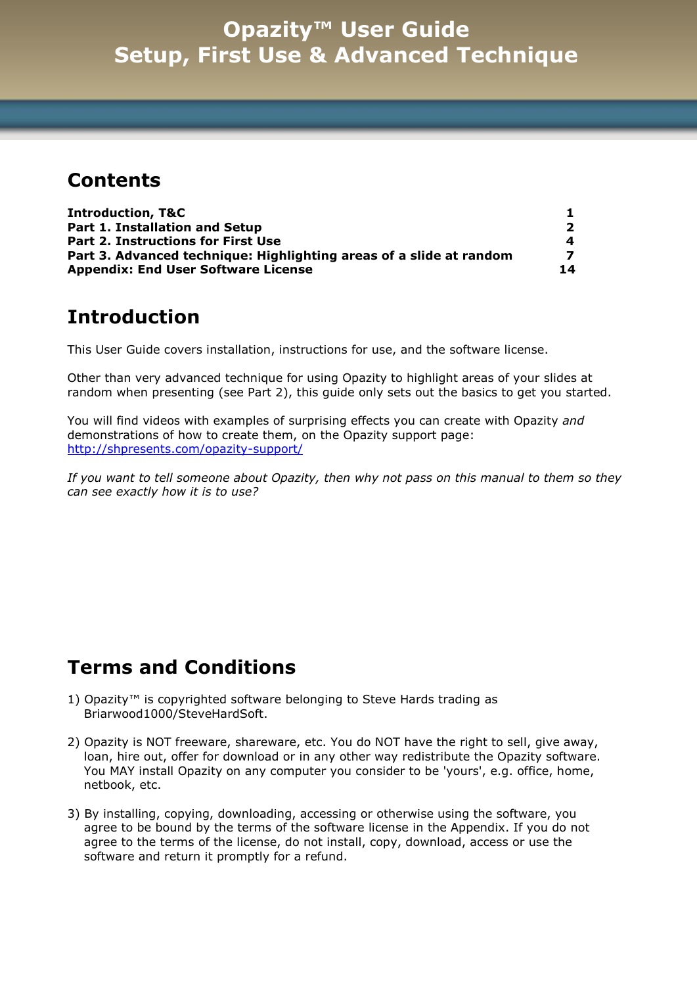#### **Contents**

| <b>Introduction, T&amp;C</b>                                        |    |
|---------------------------------------------------------------------|----|
| <b>Part 1. Installation and Setup</b>                               |    |
| <b>Part 2. Instructions for First Use</b>                           | 4  |
| Part 3. Advanced technique: Highlighting areas of a slide at random |    |
| <b>Appendix: End User Software License</b>                          | 14 |

#### **Introduction**

This User Guide covers installation, instructions for use, and the software license.

Other than very advanced technique for using Opazity to highlight areas of your slides at random when presenting (see Part 2), this guide only sets out the basics to get you started.

You will find videos with examples of surprising effects you can create with Opazity *and* demonstrations of how to create them, on the Opazity support page: <http://shpresents.com/opazity-support/>

*If you want to tell someone about Opazity, then why not pass on this manual to them so they can see exactly how it is to use?*

### **Terms and Conditions**

- 1) Opazity™ is copyrighted software belonging to Steve Hards trading as Briarwood1000/SteveHardSoft.
- 2) Opazity is NOT freeware, shareware, etc. You do NOT have the right to sell, give away, loan, hire out, offer for download or in any other way redistribute the Opazity software. You MAY install Opazity on any computer you consider to be 'yours', e.g. office, home, netbook, etc.
- 3) By installing, copying, downloading, accessing or otherwise using the software, you agree to be bound by the terms of the software license in the Appendix. If you do not agree to the terms of the license, do not install, copy, download, access or use the software and return it promptly for a refund.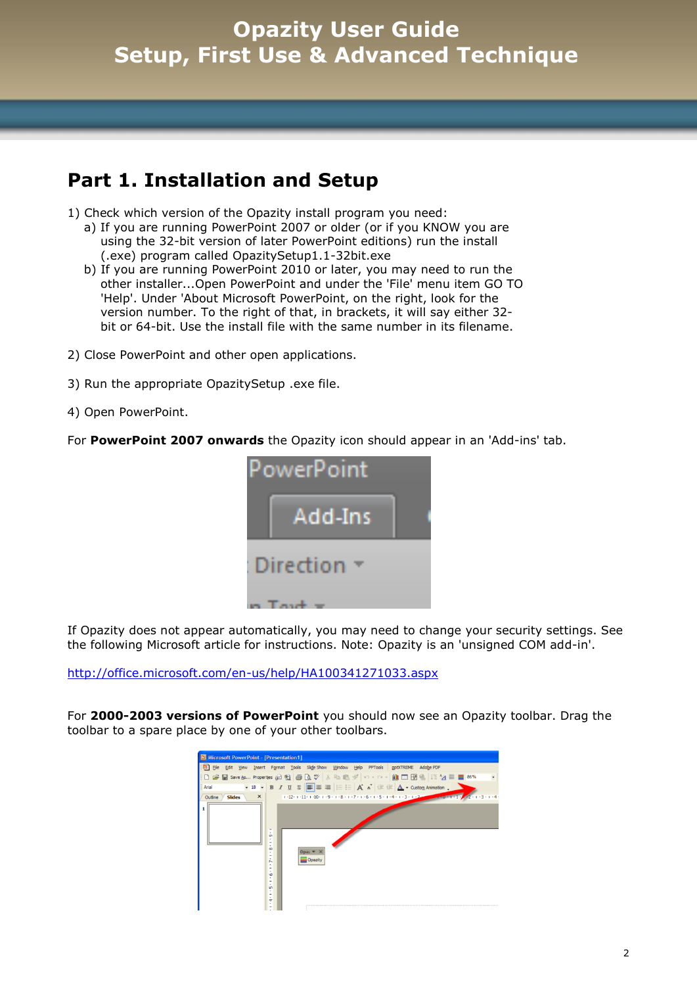### **Part 1. Installation and Setup**

- 1) Check which version of the Opazity install program you need:
	- a) If you are running PowerPoint 2007 or older (or if you KNOW you are using the 32-bit version of later PowerPoint editions) run the install (.exe) program called OpazitySetup1.1-32bit.exe
	- b) If you are running PowerPoint 2010 or later, you may need to run the other installer...Open PowerPoint and under the 'File' menu item GO TO 'Help'. Under 'About Microsoft PowerPoint, on the right, look for the version number. To the right of that, in brackets, it will say either 32 bit or 64-bit. Use the install file with the same number in its filename.
- 2) Close PowerPoint and other open applications.
- 3) Run the appropriate OpazitySetup .exe file.
- 4) Open PowerPoint.

For **PowerPoint 2007 onwards** the Opazity icon should appear in an 'Add-ins' tab.



If Opazity does not appear automatically, you may need to change your security settings. See the following Microsoft article for instructions. Note: Opazity is an 'unsigned COM add-in'.

<http://office.microsoft.com/en-us/help/HA100341271033.aspx>

For **2000-2003 versions of PowerPoint** you should now see an Opazity toolbar. Drag the toolbar to a spare place by one of your other toolbars.

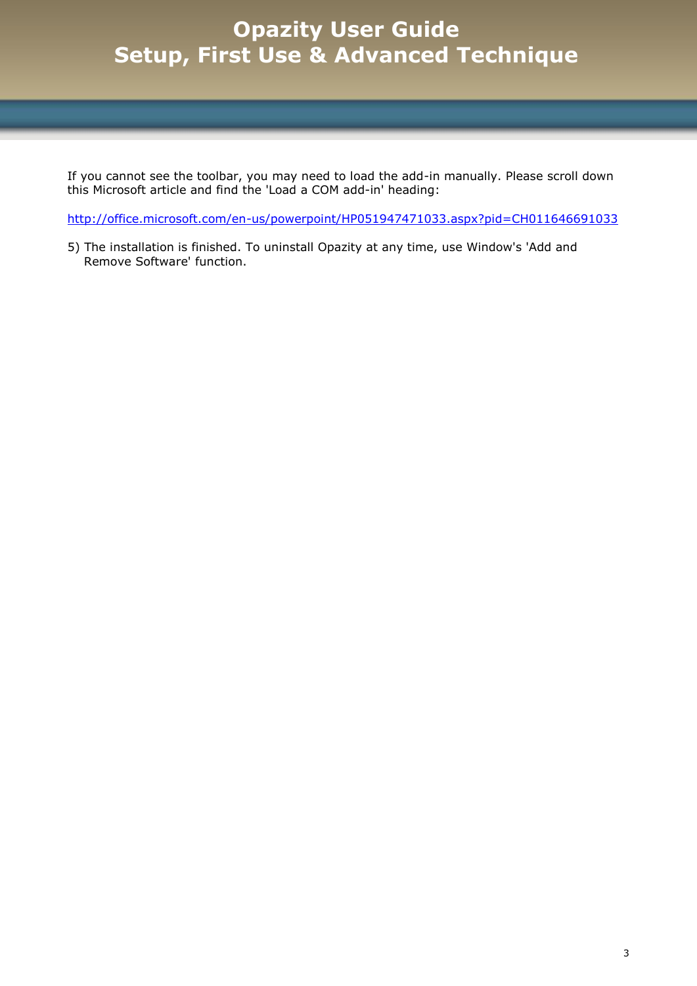If you cannot see the toolbar, you may need to load the add-in manually. Please scroll down this Microsoft article and find the 'Load a COM add-in' heading:

<http://office.microsoft.com/en-us/powerpoint/HP051947471033.aspx?pid=CH011646691033>

5) The installation is finished. To uninstall Opazity at any time, use Window's 'Add and Remove Software' function.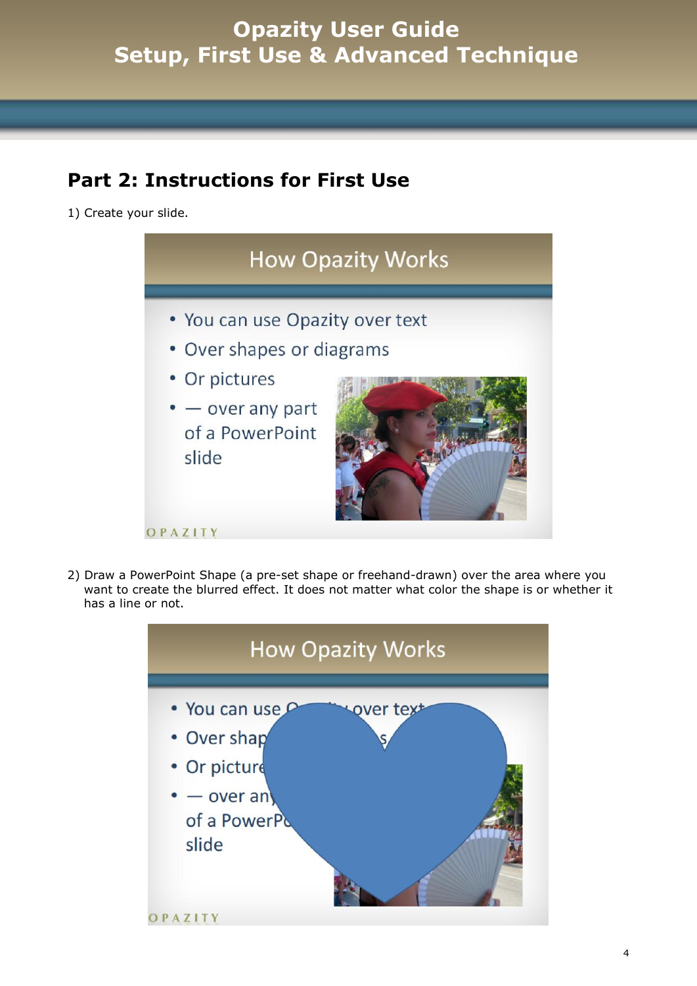### **Part 2: Instructions for First Use**

1) Create your slide.



2) Draw a PowerPoint Shape (a pre-set shape or freehand-drawn) over the area where you want to create the blurred effect. It does not matter what color the shape is or whether it has a line or not.

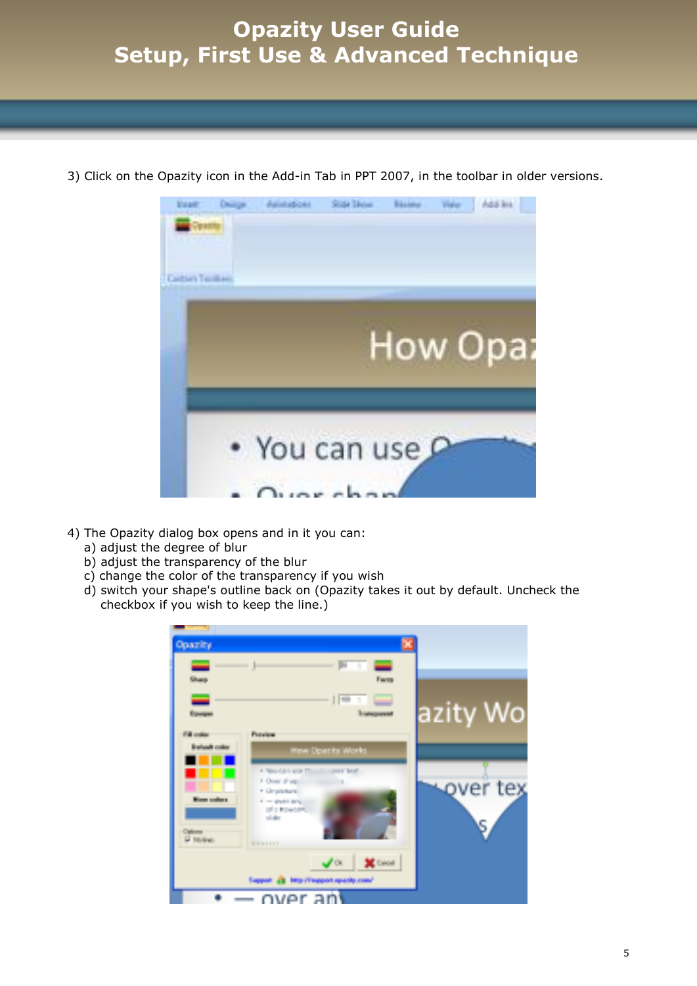

3) Click on the Opazity icon in the Add-in Tab in PPT 2007, in the toolbar in older versions.

- 4) The Opazity dialog box opens and in it you can:
	- a) adjust the degree of blur
	- b) adjust the transparency of the blur
	- c) change the color of the transparency if you wish
	- d) switch your shape's outline back on (Opazity takes it out by default. Uncheck the checkbox if you wish to keep the line.)

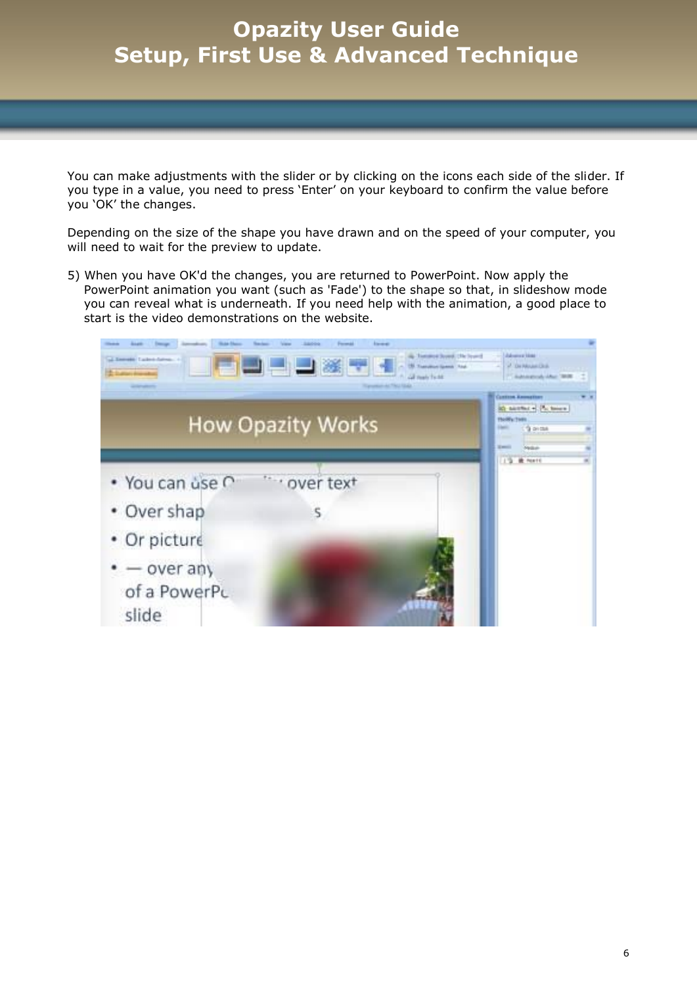You can make adjustments with the slider or by clicking on the icons each side of the slider. If you type in a value, you need to press 'Enter' on your keyboard to confirm the value before you 'OK' the changes.

Depending on the size of the shape you have drawn and on the speed of your computer, you will need to wait for the preview to update.

5) When you have OK'd the changes, you are returned to PowerPoint. Now apply the PowerPoint animation you want (such as 'Fade') to the shape so that, in slideshow mode you can reveal what is underneath. If you need help with the animation, a good place to start is the video demonstrations on the website.

| al-Temele Talendar                    | <b>Liensen</b>           | a Tommun Syved, Chr Syved<br><b>Transitor Genet 1844</b><br>GETHING THIRE | <b>Jakonese Hotel</b><br>A De Mouse Dick<br>Automotive Automo-                                                                    |  |
|---------------------------------------|--------------------------|---------------------------------------------------------------------------|-----------------------------------------------------------------------------------------------------------------------------------|--|
|                                       | <b>How Opazity Works</b> |                                                                           | <b>LISTEN KNINGERN</b><br>ich nachhat + Pa henn-<br>FloWs:TMR<br><sup>1</sup> overall<br><b>State</b><br>Nedari<br><b>W</b> Ponti |  |
| · You can use C                       | over text                |                                                                           |                                                                                                                                   |  |
| • Over shap                           | s                        |                                                                           |                                                                                                                                   |  |
| • Or picture                          |                          |                                                                           |                                                                                                                                   |  |
| $-$ over any<br>of a PowerPL<br>slide |                          |                                                                           |                                                                                                                                   |  |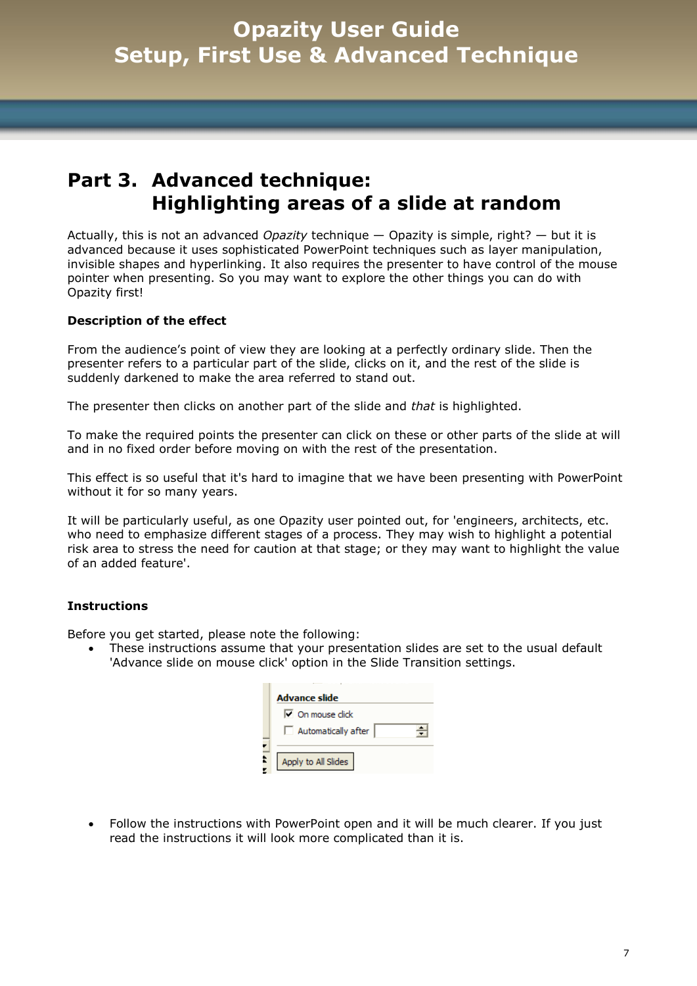### **Part 3. Advanced technique: Highlighting areas of a slide at random**

Actually, this is not an advanced *Opazity* technique — Opazity is simple, right? — but it is advanced because it uses sophisticated PowerPoint techniques such as layer manipulation, invisible shapes and hyperlinking. It also requires the presenter to have control of the mouse pointer when presenting. So you may want to explore the other things you can do with Opazity first!

#### **Description of the effect**

From the audience's point of view they are looking at a perfectly ordinary slide. Then the presenter refers to a particular part of the slide, clicks on it, and the rest of the slide is suddenly darkened to make the area referred to stand out.

The presenter then clicks on another part of the slide and *that* is highlighted.

To make the required points the presenter can click on these or other parts of the slide at will and in no fixed order before moving on with the rest of the presentation.

This effect is so useful that it's hard to imagine that we have been presenting with PowerPoint without it for so many years.

It will be particularly useful, as one Opazity user pointed out, for 'engineers, architects, etc. who need to emphasize different stages of a process. They may wish to highlight a potential risk area to stress the need for caution at that stage; or they may want to highlight the value of an added feature'.

#### **Instructions**

Before you get started, please note the following:

 These instructions assume that your presentation slides are set to the usual default 'Advance slide on mouse click' option in the Slide Transition settings.

| <b>Advance slide</b>    |
|-------------------------|
| $\nabla$ On mouse click |
| Automatically after     |
| Apply to All Slides     |

 Follow the instructions with PowerPoint open and it will be much clearer. If you just read the instructions it will look more complicated than it is.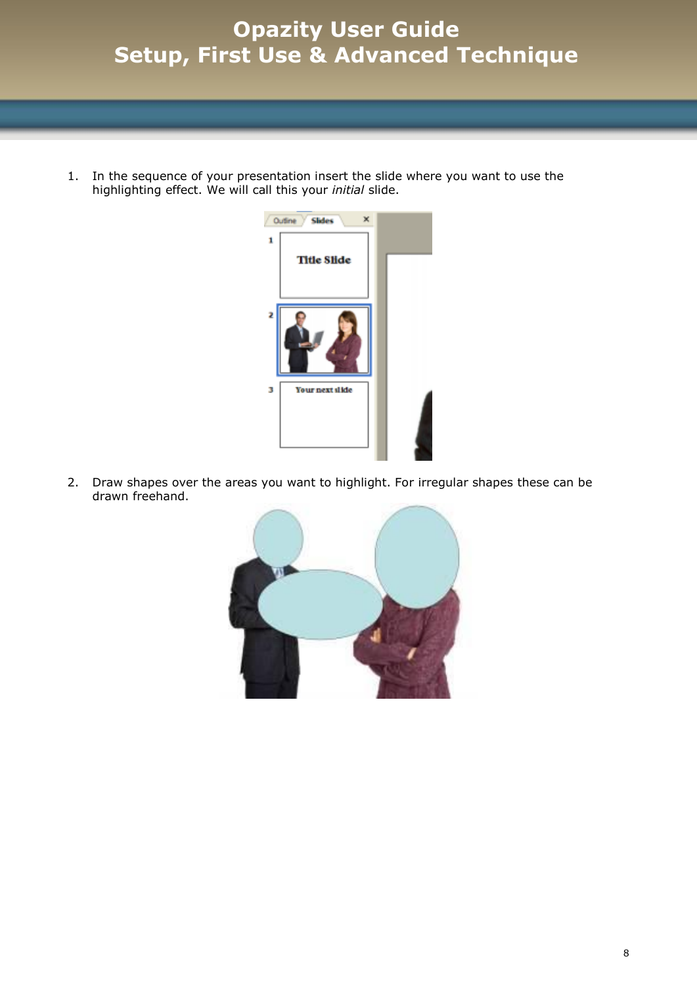1. In the sequence of your presentation insert the slide where you want to use the highlighting effect. We will call this your *initial* slide.



2. Draw shapes over the areas you want to highlight. For irregular shapes these can be drawn freehand.

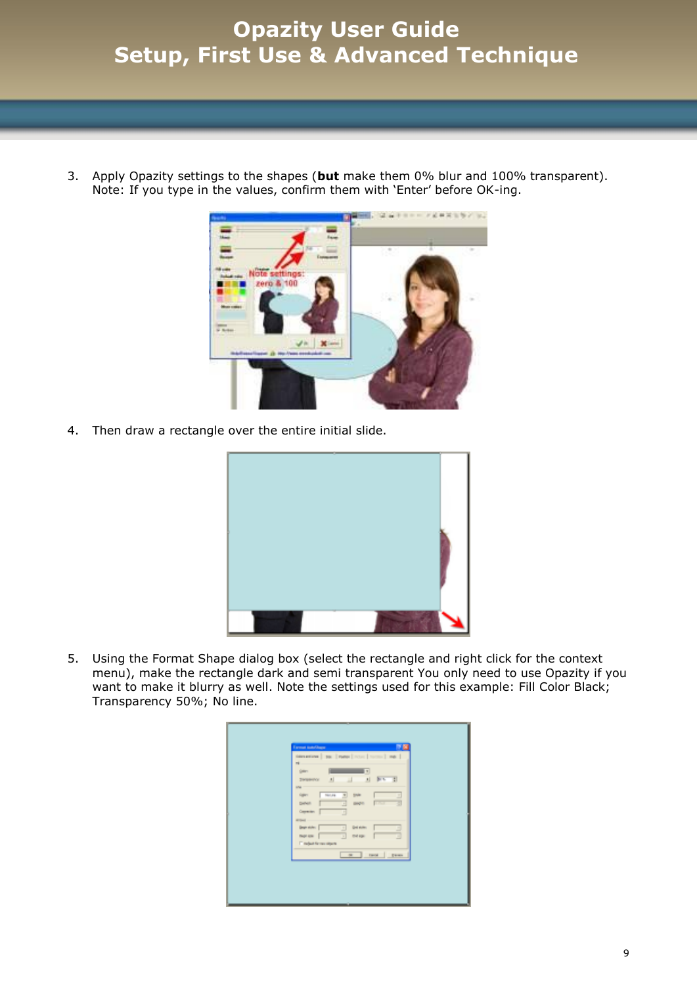3. Apply Opazity settings to the shapes (**but** make them 0% blur and 100% transparent). Note: If you type in the values, confirm them with 'Enter' before OK-ing.



4. Then draw a rectangle over the entire initial slide.



5. Using the Format Shape dialog box (select the rectangle and right click for the context menu), make the rectangle dark and semi transparent You only need to use Opazity if you want to make it blurry as well. Note the settings used for this example: Fill Color Black; Transparency 50%; No line.

| <b>Europa AutoStage</b><br><b>PB</b><br>Allenations   par   ramps   notes   norms   mp  <br>$\rightarrow$<br>Gallery.<br>$\pi$<br> x <br>新た 計<br>$\mathbf{A}$<br>$-1$<br><b>SWINNOV</b><br><b>UN</b><br>回<br>161.44<br><b>Sighers</b><br><b>Shirt</b><br>π<br>31<br>в<br>Direct.<br>peg-n<br><b>COLLEGE</b><br>Copwith:<br><b>The Contract of the Contract of the Contract</b><br>Ξ<br><b>William</b><br><b>Gran side:</b><br>Grei staten: |  |
|--------------------------------------------------------------------------------------------------------------------------------------------------------------------------------------------------------------------------------------------------------------------------------------------------------------------------------------------------------------------------------------------------------------------------------------------|--|
| Ξ<br>Ξ<br><b>THEFT AVE</b><br>that age:<br>۰<br>₫<br>IT reports workpark<br>or prod pres-                                                                                                                                                                                                                                                                                                                                                  |  |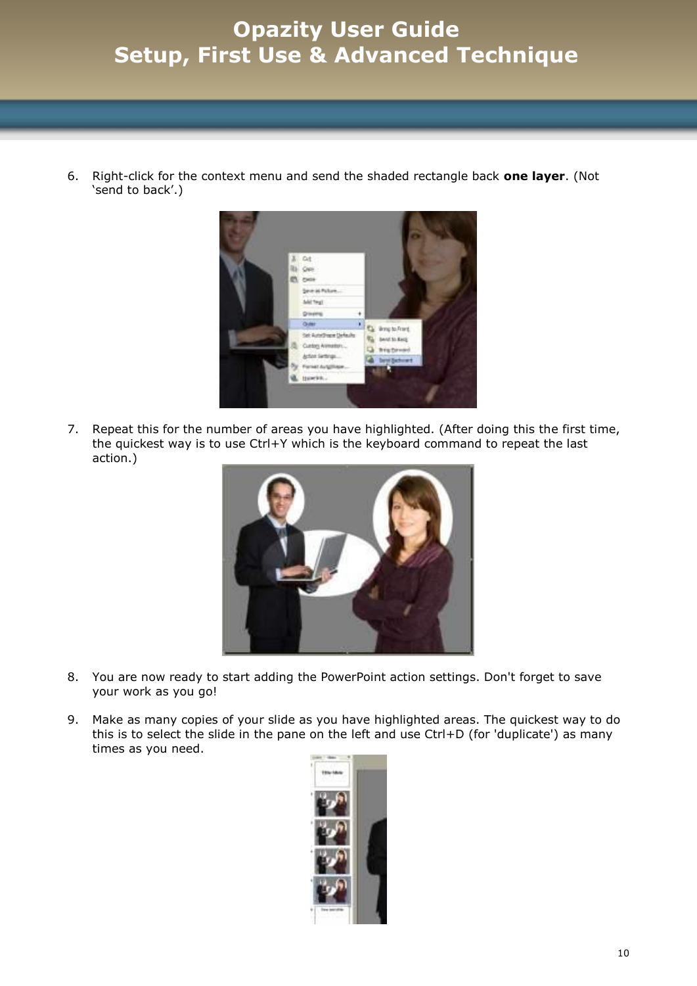6. Right-click for the context menu and send the shaded rectangle back **one layer**. (Not 'send to back'.)



7. Repeat this for the number of areas you have highlighted. (After doing this the first time, the quickest way is to use Ctrl+Y which is the keyboard command to repeat the last action.)



- 8. You are now ready to start adding the PowerPoint action settings. Don't forget to save your work as you go!
- 9. Make as many copies of your slide as you have highlighted areas. The quickest way to do this is to select the slide in the pane on the left and use Ctrl+D (for 'duplicate') as many times as you need.

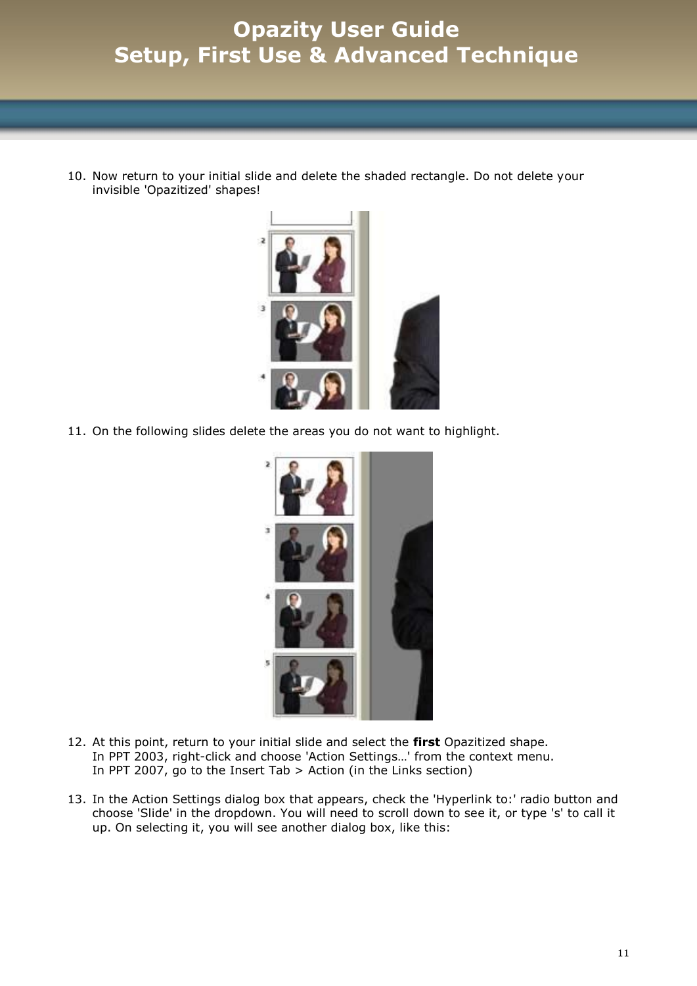10. Now return to your initial slide and delete the shaded rectangle. Do not delete your invisible 'Opazitized' shapes!



11. On the following slides delete the areas you do not want to highlight.



- 12. At this point, return to your initial slide and select the **first** Opazitized shape. In PPT 2003, right-click and choose 'Action Settings…' from the context menu. In PPT 2007, go to the Insert Tab > Action (in the Links section)
- 13. In the Action Settings dialog box that appears, check the 'Hyperlink to:' radio button and choose 'Slide' in the dropdown. You will need to scroll down to see it, or type 's' to call it up. On selecting it, you will see another dialog box, like this: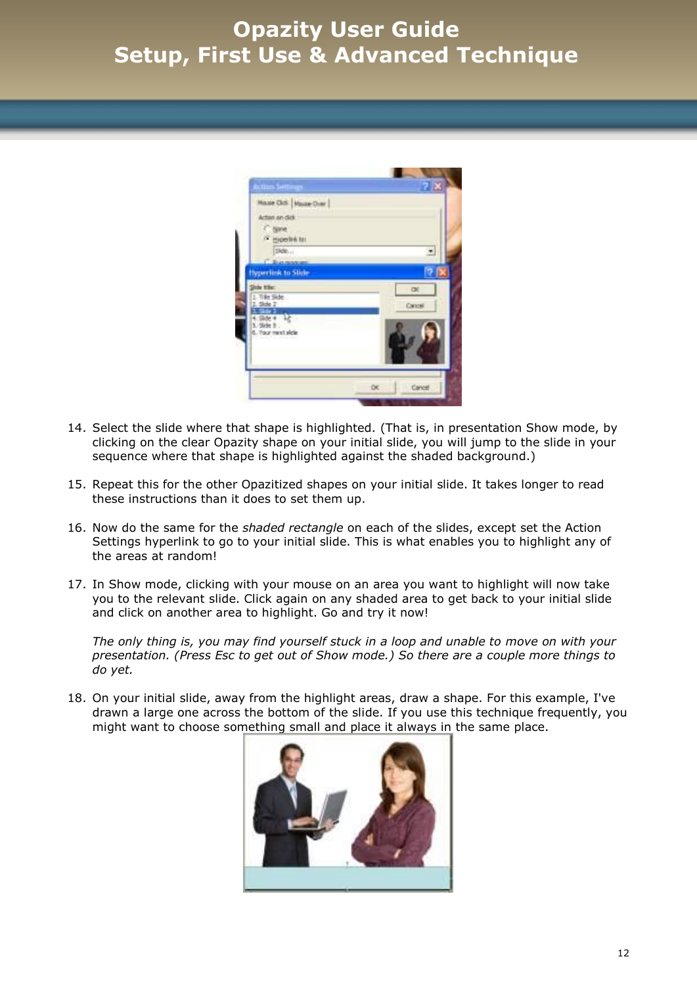

- 14. Select the slide where that shape is highlighted. (That is, in presentation Show mode, by clicking on the clear Opazity shape on your initial slide, you will jump to the slide in your sequence where that shape is highlighted against the shaded background.)
- 15. Repeat this for the other Opazitized shapes on your initial slide. It takes longer to read these instructions than it does to set them up.
- 16. Now do the same for the *shaded rectangle* on each of the slides, except set the Action Settings hyperlink to go to your initial slide. This is what enables you to highlight any of the areas at random!
- 17. In Show mode, clicking with your mouse on an area you want to highlight will now take you to the relevant slide. Click again on any shaded area to get back to your initial slide and click on another area to highlight. Go and try it now!

*The only thing is, you may find yourself stuck in a loop and unable to move on with your presentation. (Press Esc to get out of Show mode.) So there are a couple more things to do yet.*

18. On your initial slide, away from the highlight areas, draw a shape. For this example, I've drawn a large one across the bottom of the slide. If you use this technique frequently, you might want to choose something small and place it always in the same place.

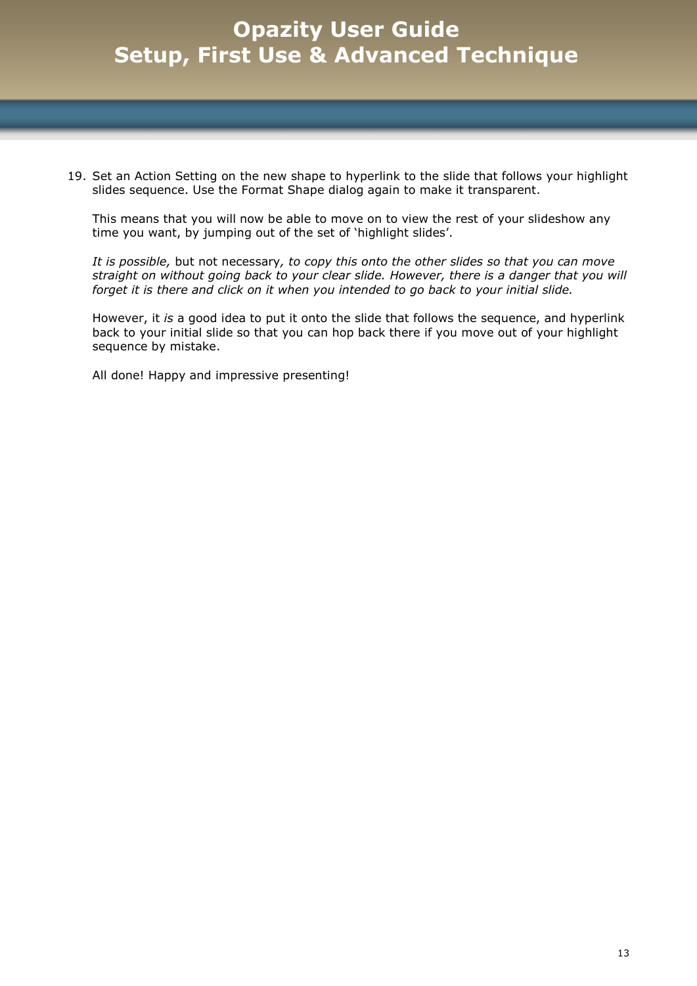19. Set an Action Setting on the new shape to hyperlink to the slide that follows your highlight slides sequence. Use the Format Shape dialog again to make it transparent.

This means that you will now be able to move on to view the rest of your slideshow any time you want, by jumping out of the set of 'highlight slides'.

*It is possible,* but not necessary*, to copy this onto the other slides so that you can move straight on without going back to your clear slide. However, there is a danger that you will forget it is there and click on it when you intended to go back to your initial slide.*

However, it *is* a good idea to put it onto the slide that follows the sequence, and hyperlink back to your initial slide so that you can hop back there if you move out of your highlight sequence by mistake.

All done! Happy and impressive presenting!